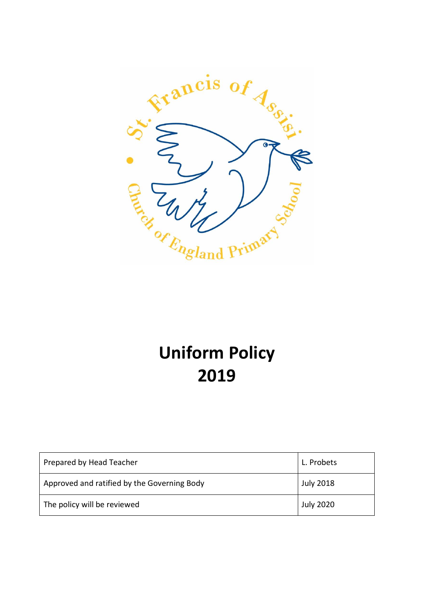

# **Uniform Policy 2019**

| Prepared by Head Teacher                    | L. Probets       |
|---------------------------------------------|------------------|
| Approved and ratified by the Governing Body | <b>July 2018</b> |
| The policy will be reviewed                 | <b>July 2020</b> |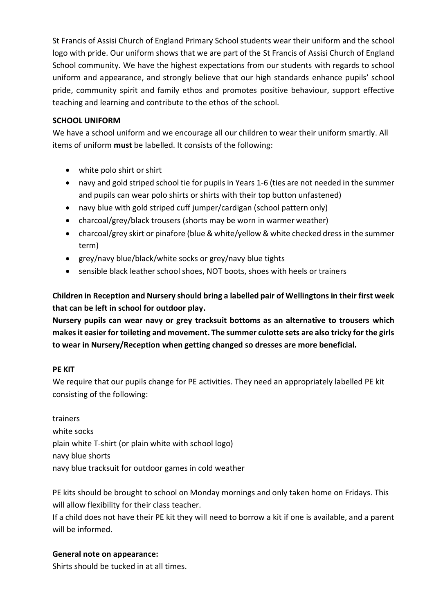St Francis of Assisi Church of England Primary School students wear their uniform and the school logo with pride. Our uniform shows that we are part of the St Francis of Assisi Church of England School community. We have the highest expectations from our students with regards to school uniform and appearance, and strongly believe that our high standards enhance pupils' school pride, community spirit and family ethos and promotes positive behaviour, support effective teaching and learning and contribute to the ethos of the school.

#### **SCHOOL UNIFORM**

We have a school uniform and we encourage all our children to wear their uniform smartly. All items of uniform **must** be labelled. It consists of the following:

- white polo shirt or shirt
- navy and gold striped school tie for pupils in Years 1-6 (ties are not needed in the summer and pupils can wear polo shirts or shirts with their top button unfastened)
- navy blue with gold striped cuff jumper/cardigan (school pattern only)
- charcoal/grey/black trousers (shorts may be worn in warmer weather)
- charcoal/grey skirt or pinafore (blue & white/yellow & white checked dress in the summer term)
- grey/navy blue/black/white socks or grey/navy blue tights
- sensible black leather school shoes, NOT boots, shoes with heels or trainers

**Children in Reception and Nursery should bring a labelled pair of Wellingtons in their first week that can be left in school for outdoor play.**

**Nursery pupils can wear navy or grey tracksuit bottoms as an alternative to trousers which makes it easier for toileting and movement. The summer culotte sets are also tricky for the girls to wear in Nursery/Reception when getting changed so dresses are more beneficial.**

## **PE KIT**

We require that our pupils change for PE activities. They need an appropriately labelled PE kit consisting of the following:

trainers white socks plain white T-shirt (or plain white with school logo) navy blue shorts navy blue tracksuit for outdoor games in cold weather

PE kits should be brought to school on Monday mornings and only taken home on Fridays. This will allow flexibility for their class teacher.

If a child does not have their PE kit they will need to borrow a kit if one is available, and a parent will be informed.

## **General note on appearance:**

Shirts should be tucked in at all times.